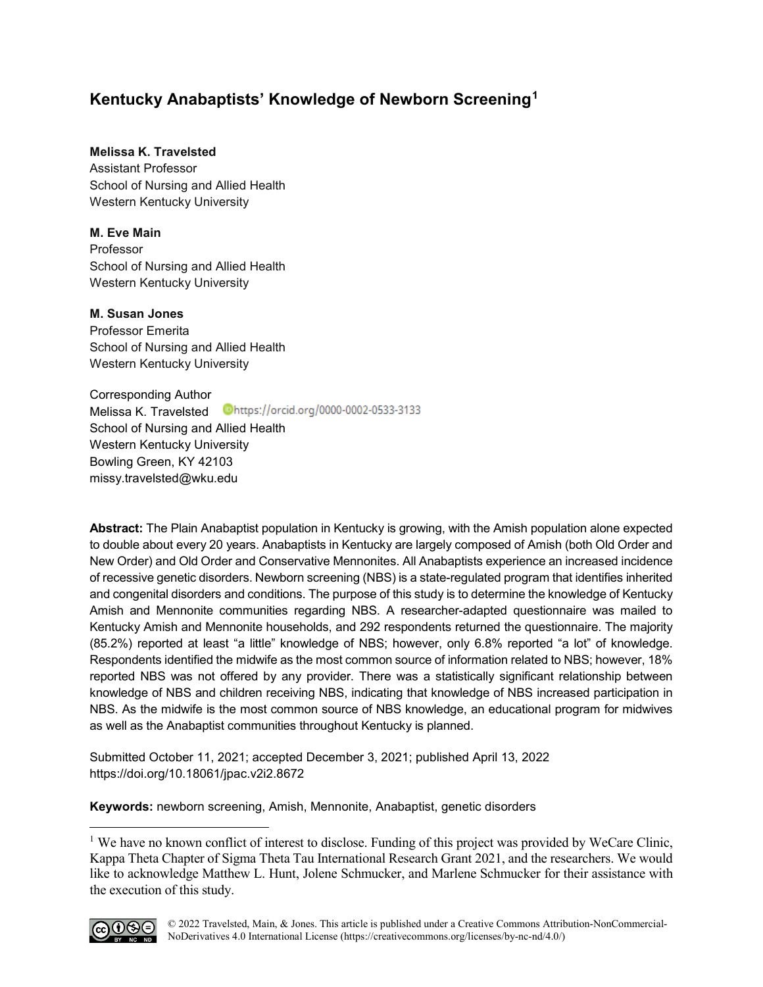# **Kentucky Anabaptists' Knowledge of Newborn Screening[1](#page-0-0)**

# **Melissa K. Travelsted**

Assistant Professor School of Nursing and Allied Health Western Kentucky University

# **M. Eve Main**

Professor School of Nursing and Allied Health Western Kentucky University

# **M. Susan Jones**

Professor Emerita School of Nursing and Allied Health Western Kentucky University

Corresponding Author Melissa K. Travelsted Dhttps://orcid.org/0000-0002-0533-3133 School of Nursing and Allied Health Western Kentucky University Bowling Green, KY 42103 [missy.travelsted@wku.edu](mailto:missy.travelsted@wku.edu)

**Abstract:** The Plain Anabaptist population in Kentucky is growing, with the Amish population alone expected to double about every 20 years. Anabaptists in Kentucky are largely composed of Amish (both Old Order and New Order) and Old Order and Conservative Mennonites. All Anabaptists experience an increased incidence of recessive genetic disorders. Newborn screening (NBS) is a state-regulated program that identifies inherited and congenital disorders and conditions. The purpose of this study is to determine the knowledge of Kentucky Amish and Mennonite communities regarding NBS. A researcher-adapted questionnaire was mailed to Kentucky Amish and Mennonite households, and 292 respondents returned the questionnaire. The majority (85.2%) reported at least "a little" knowledge of NBS; however, only 6.8% reported "a lot" of knowledge. Respondents identified the midwife as the most common source of information related to NBS; however, 18% reported NBS was not offered by any provider. There was a statistically significant relationship between knowledge of NBS and children receiving NBS, indicating that knowledge of NBS increased participation in NBS. As the midwife is the most common source of NBS knowledge, an educational program for midwives as well as the Anabaptist communities throughout Kentucky is planned.

Submitted October 11, 2021; accepted December 3, 2021; published April 13, 2022 <https://doi.org/10.18061/jpac.v2i2.8672>

**Keywords:** newborn screening, Amish, Mennonite, Anabaptist, genetic disorders

<span id="page-0-0"></span><sup>&</sup>lt;sup>1</sup> We have no known conflict of interest to disclose. Funding of this project was provided by WeCare Clinic, Kappa Theta Chapter of Sigma Theta Tau International Research Grant 2021, and the researchers. We would like to acknowledge Matthew L. Hunt, Jolene Schmucker, and Marlene Schmucker for their assistance with the execution of this study.



 $\overline{a}$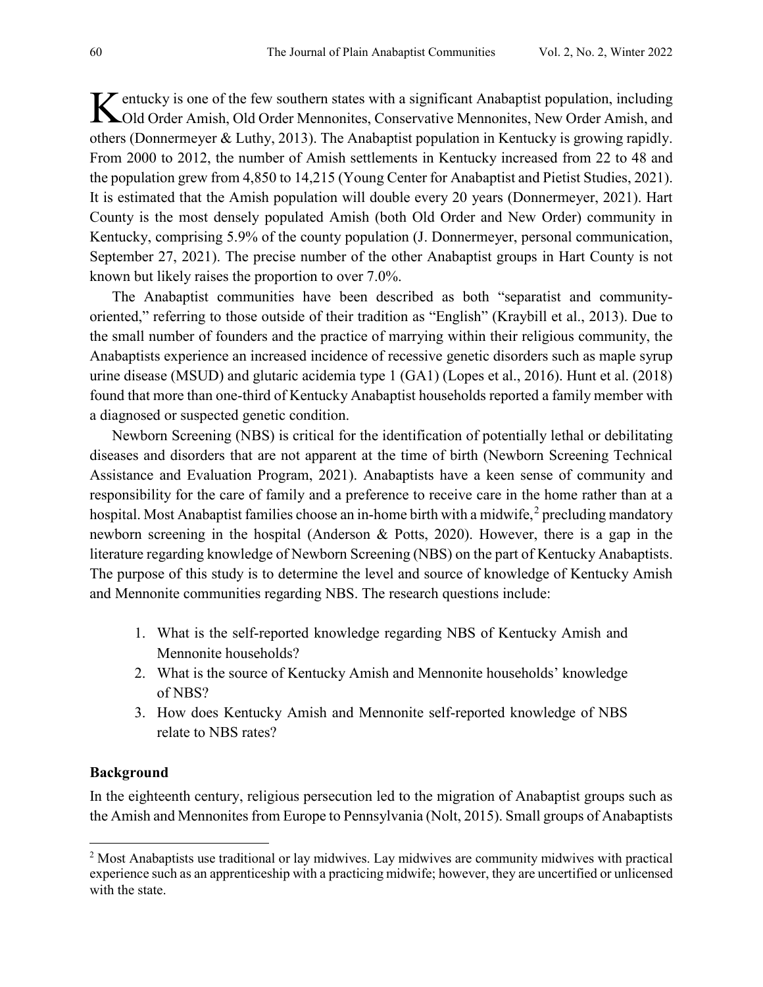K entucky is one of the few southern states with a significant Anabaptist population, including<br>
Cold Order Amish, Old Order Mennonites, Conservative Mennonites, New Order Amish, and Old Order Amish, Old Order Mennonites, Conservative Mennonites, New Order Amish, and others (Donnermeyer & Luthy, 2013). The Anabaptist population in Kentucky is growing rapidly. From 2000 to 2012, the number of Amish settlements in Kentucky increased from 22 to 48 and the population grew from 4,850 to 14,215 (Young Center for Anabaptist and Pietist Studies, 2021). It is estimated that the Amish population will double every 20 years (Donnermeyer, 2021). Hart County is the most densely populated Amish (both Old Order and New Order) community in Kentucky, comprising 5.9% of the county population (J. Donnermeyer, personal communication, September 27, 2021). The precise number of the other Anabaptist groups in Hart County is not known but likely raises the proportion to over 7.0%.

The Anabaptist communities have been described as both "separatist and communityoriented," referring to those outside of their tradition as "English" (Kraybill et al., 2013). Due to the small number of founders and the practice of marrying within their religious community, the Anabaptists experience an increased incidence of recessive genetic disorders such as maple syrup urine disease (MSUD) and glutaric acidemia type 1 (GA1) (Lopes et al., 2016). Hunt et al. (2018) found that more than one-third of Kentucky Anabaptist households reported a family member with a diagnosed or suspected genetic condition.

Newborn Screening (NBS) is critical for the identification of potentially lethal or debilitating diseases and disorders that are not apparent at the time of birth (Newborn Screening Technical Assistance and Evaluation Program, 2021). Anabaptists have a keen sense of community and responsibility for the care of family and a preference to receive care in the home rather than at a hospital. Most Anabaptist families choose an in-home birth with a midwife,  $2$  precluding mandatory newborn screening in the hospital (Anderson & Potts, 2020). However, there is a gap in the literature regarding knowledge of Newborn Screening (NBS) on the part of Kentucky Anabaptists. The purpose of this study is to determine the level and source of knowledge of Kentucky Amish and Mennonite communities regarding NBS. The research questions include:

- 1. What is the self-reported knowledge regarding NBS of Kentucky Amish and Mennonite households?
- 2. What is the source of Kentucky Amish and Mennonite households' knowledge of NBS?
- 3. How does Kentucky Amish and Mennonite self-reported knowledge of NBS relate to NBS rates?

#### **Background**

 $\overline{\phantom{a}}$ 

In the eighteenth century, religious persecution led to the migration of Anabaptist groups such as the Amish and Mennonites from Europe to Pennsylvania (Nolt, 2015). Small groups of Anabaptists

<span id="page-1-0"></span><sup>2</sup> Most Anabaptists use traditional or lay midwives. Lay midwives are community midwives with practical experience such as an apprenticeship with a practicing midwife; however, they are uncertified or unlicensed with the state.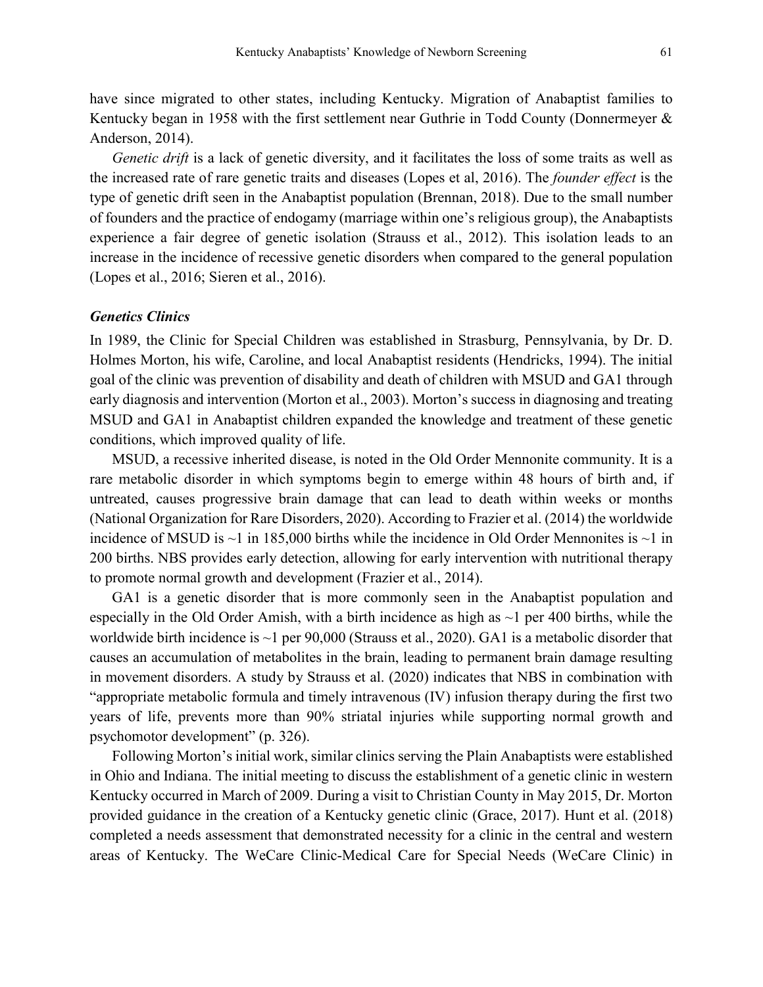have since migrated to other states, including Kentucky. Migration of Anabaptist families to Kentucky began in 1958 with the first settlement near Guthrie in Todd County (Donnermeyer & Anderson, 2014).

*Genetic drift* is a lack of genetic diversity, and it facilitates the loss of some traits as well as the increased rate of rare genetic traits and diseases (Lopes et al, 2016). The *founder effect* is the type of genetic drift seen in the Anabaptist population (Brennan, 2018). Due to the small number of founders and the practice of endogamy (marriage within one's religious group), the Anabaptists experience a fair degree of genetic isolation (Strauss et al., 2012). This isolation leads to an increase in the incidence of recessive genetic disorders when compared to the general population (Lopes et al., 2016; Sieren et al., 2016).

# *Genetics Clinics*

In 1989, the Clinic for Special Children was established in Strasburg, Pennsylvania, by Dr. D. Holmes Morton, his wife, Caroline, and local Anabaptist residents (Hendricks, 1994). The initial goal of the clinic was prevention of disability and death of children with MSUD and GA1 through early diagnosis and intervention (Morton et al., 2003). Morton's success in diagnosing and treating MSUD and GA1 in Anabaptist children expanded the knowledge and treatment of these genetic conditions, which improved quality of life.

MSUD, a recessive inherited disease, is noted in the Old Order Mennonite community. It is a rare metabolic disorder in which symptoms begin to emerge within 48 hours of birth and, if untreated, causes progressive brain damage that can lead to death within weeks or months (National Organization for Rare Disorders, 2020). According to Frazier et al. (2014) the worldwide incidence of MSUD is  $\sim$ 1 in 185,000 births while the incidence in Old Order Mennonites is  $\sim$ 1 in 200 births. NBS provides early detection, allowing for early intervention with nutritional therapy to promote normal growth and development (Frazier et al., 2014).

GA1 is a genetic disorder that is more commonly seen in the Anabaptist population and especially in the Old Order Amish, with a birth incidence as high as  $\sim$ 1 per 400 births, while the worldwide birth incidence is ~1 per 90,000 (Strauss et al., 2020). GA1 is a metabolic disorder that causes an accumulation of metabolites in the brain, leading to permanent brain damage resulting in movement disorders. A study by Strauss et al. (2020) indicates that NBS in combination with "appropriate metabolic formula and timely intravenous (IV) infusion therapy during the first two years of life, prevents more than 90% striatal injuries while supporting normal growth and psychomotor development" (p. 326).

Following Morton's initial work, similar clinics serving the Plain Anabaptists were established in Ohio and Indiana. The initial meeting to discuss the establishment of a genetic clinic in western Kentucky occurred in March of 2009. During a visit to Christian County in May 2015, Dr. Morton provided guidance in the creation of a Kentucky genetic clinic (Grace, 2017). Hunt et al. (2018) completed a needs assessment that demonstrated necessity for a clinic in the central and western areas of Kentucky. The WeCare Clinic-Medical Care for Special Needs (WeCare Clinic) in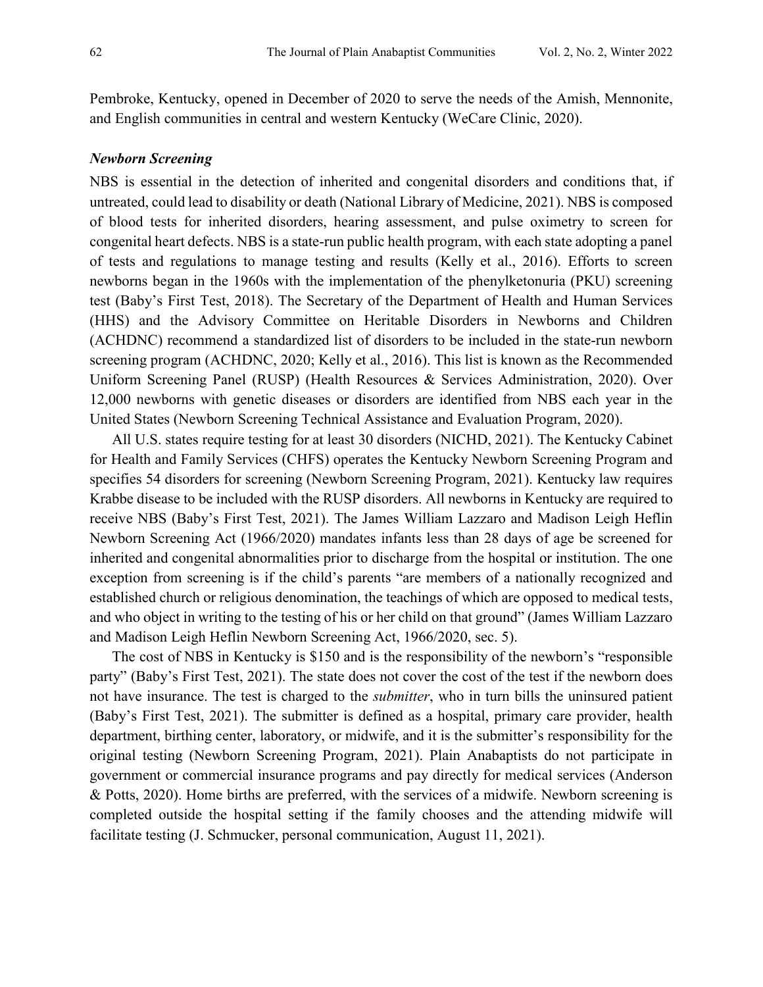Pembroke, Kentucky, opened in December of 2020 to serve the needs of the Amish, Mennonite, and English communities in central and western Kentucky (WeCare Clinic, 2020).

## *Newborn Screening*

NBS is essential in the detection of inherited and congenital disorders and conditions that, if untreated, could lead to disability or death (National Library of Medicine, 2021). NBS is composed of blood tests for inherited disorders, hearing assessment, and pulse oximetry to screen for congenital heart defects. NBS is a state-run public health program, with each state adopting a panel of tests and regulations to manage testing and results (Kelly et al., 2016). Efforts to screen newborns began in the 1960s with the implementation of the phenylketonuria (PKU) screening test (Baby's First Test, 2018). The Secretary of the Department of Health and Human Services (HHS) and the Advisory Committee on Heritable Disorders in Newborns and Children (ACHDNC) recommend a standardized list of disorders to be included in the state-run newborn screening program (ACHDNC, 2020; Kelly et al., 2016). This list is known as the Recommended Uniform Screening Panel (RUSP) (Health Resources & Services Administration, 2020). Over 12,000 newborns with genetic diseases or disorders are identified from NBS each year in the United States (Newborn Screening Technical Assistance and Evaluation Program, 2020).

 All U.S. states require testing for at least 30 disorders (NICHD, 2021). The Kentucky Cabinet for Health and Family Services (CHFS) operates the Kentucky Newborn Screening Program and specifies 54 disorders for screening (Newborn Screening Program, 2021). Kentucky law requires Krabbe disease to be included with the RUSP disorders. All newborns in Kentucky are required to receive NBS (Baby's First Test, 2021). The James William Lazzaro and Madison Leigh Heflin Newborn Screening Act (1966/2020) mandates infants less than 28 days of age be screened for inherited and congenital abnormalities prior to discharge from the hospital or institution. The one exception from screening is if the child's parents "are members of a nationally recognized and established church or religious denomination, the teachings of which are opposed to medical tests, and who object in writing to the testing of his or her child on that ground" (James William Lazzaro and Madison Leigh Heflin Newborn Screening Act, 1966/2020, sec. 5).

The cost of NBS in Kentucky is \$150 and is the responsibility of the newborn's "responsible party" (Baby's First Test, 2021). The state does not cover the cost of the test if the newborn does not have insurance. The test is charged to the *submitter*, who in turn bills the uninsured patient (Baby's First Test, 2021). The submitter is defined as a hospital, primary care provider, health department, birthing center, laboratory, or midwife, and it is the submitter's responsibility for the original testing (Newborn Screening Program, 2021). Plain Anabaptists do not participate in government or commercial insurance programs and pay directly for medical services (Anderson & Potts, 2020). Home births are preferred, with the services of a midwife. Newborn screening is completed outside the hospital setting if the family chooses and the attending midwife will facilitate testing (J. Schmucker, personal communication, August 11, 2021).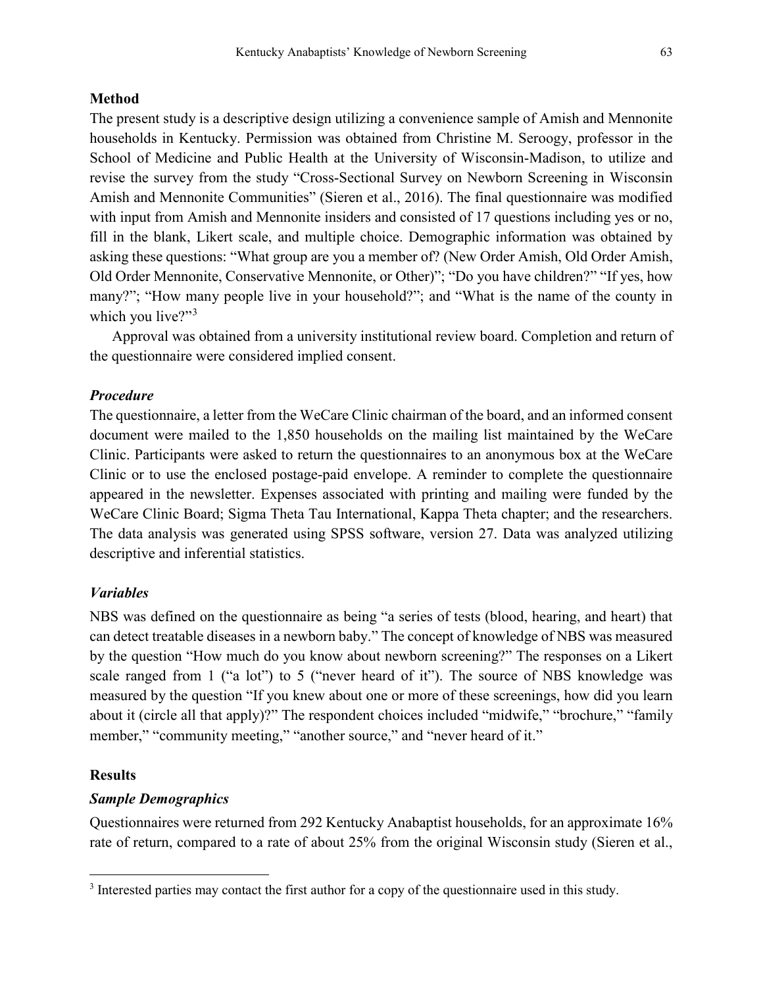# **Method**

The present study is a descriptive design utilizing a convenience sample of Amish and Mennonite households in Kentucky. Permission was obtained from Christine M. Seroogy, professor in the School of Medicine and Public Health at the University of Wisconsin-Madison, to utilize and revise the survey from the study "Cross-Sectional Survey on Newborn Screening in Wisconsin Amish and Mennonite Communities" (Sieren et al., 2016). The final questionnaire was modified with input from Amish and Mennonite insiders and consisted of 17 questions including yes or no, fill in the blank, Likert scale, and multiple choice. Demographic information was obtained by asking these questions: "What group are you a member of? (New Order Amish, Old Order Amish, Old Order Mennonite, Conservative Mennonite, or Other)"; "Do you have children?" "If yes, how many?"; "How many people live in your household?"; and "What is the name of the county in which you live?"<sup>[3](#page-4-0)</sup>

Approval was obtained from a university institutional review board. Completion and return of the questionnaire were considered implied consent.

### *Procedure*

The questionnaire, a letter from the WeCare Clinic chairman of the board, and an informed consent document were mailed to the 1,850 households on the mailing list maintained by the WeCare Clinic. Participants were asked to return the questionnaires to an anonymous box at the WeCare Clinic or to use the enclosed postage-paid envelope. A reminder to complete the questionnaire appeared in the newsletter. Expenses associated with printing and mailing were funded by the WeCare Clinic Board; Sigma Theta Tau International, Kappa Theta chapter; and the researchers. The data analysis was generated using SPSS software, version 27. Data was analyzed utilizing descriptive and inferential statistics.

# *Variables*

NBS was defined on the questionnaire as being "a series of tests (blood, hearing, and heart) that can detect treatable diseases in a newborn baby." The concept of knowledge of NBS was measured by the question "How much do you know about newborn screening?" The responses on a Likert scale ranged from 1 ("a lot") to 5 ("never heard of it"). The source of NBS knowledge was measured by the question "If you knew about one or more of these screenings, how did you learn about it (circle all that apply)?" The respondent choices included "midwife," "brochure," "family member," "community meeting," "another source," and "never heard of it."

#### **Results**

l

## *Sample Demographics*

Questionnaires were returned from 292 Kentucky Anabaptist households, for an approximate 16% rate of return, compared to a rate of about 25% from the original Wisconsin study (Sieren et al.,

<span id="page-4-0"></span><sup>&</sup>lt;sup>3</sup> Interested parties may contact the first author for a copy of the questionnaire used in this study.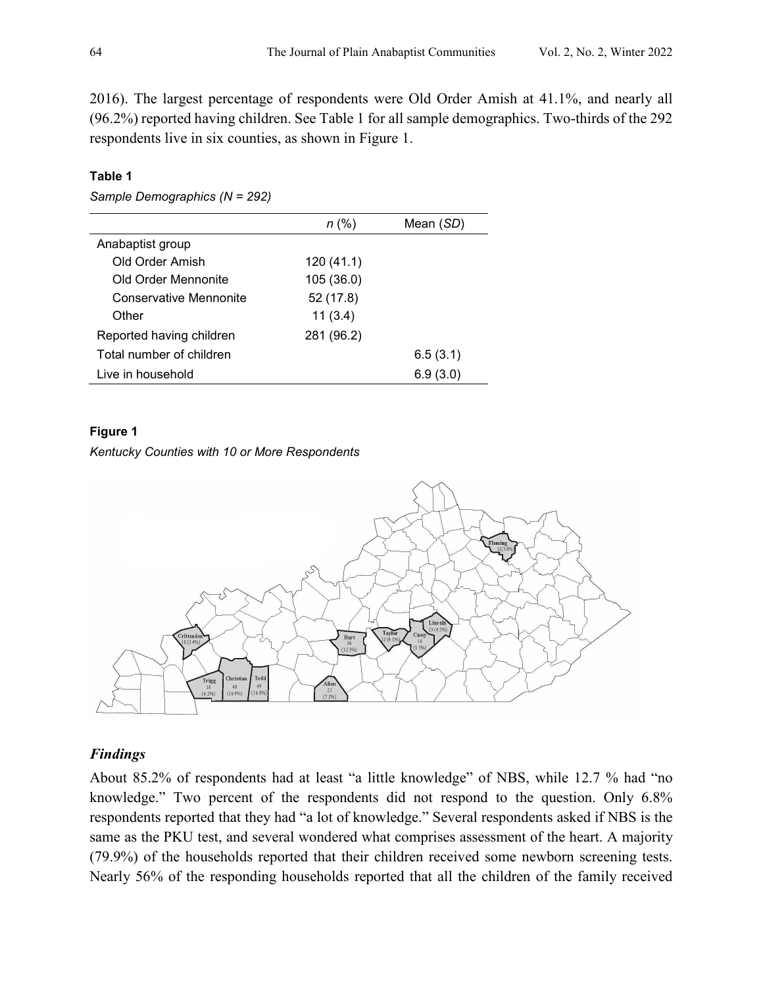2016). The largest percentage of respondents were Old Order Amish at 41.1%, and nearly all (96.2%) reported having children. See Table 1 for all sample demographics. Two-thirds of the 292 respondents live in six counties, as shown in Figure 1.

# **Table 1**

*Sample Demographics (N = 292)* 

|                          | n (%)      | Mean (SD) |
|--------------------------|------------|-----------|
| Anabaptist group         |            |           |
| Old Order Amish          | 120(41.1)  |           |
| Old Order Mennonite      | 105 (36.0) |           |
| Conservative Mennonite   | 52 (17.8)  |           |
| Other                    | 11(3.4)    |           |
| Reported having children | 281 (96.2) |           |
| Total number of children |            | 6.5(3.1)  |
| Live in household        |            | 6.9(3.0)  |

# **Figure 1**

# *Kentucky Counties with 10 or More Respondents*



# *Findings*

About 85.2% of respondents had at least "a little knowledge" of NBS, while 12.7 % had "no knowledge." Two percent of the respondents did not respond to the question. Only 6.8% respondents reported that they had "a lot of knowledge." Several respondents asked if NBS is the same as the PKU test, and several wondered what comprises assessment of the heart. A majority (79.9%) of the households reported that their children received some newborn screening tests. Nearly 56% of the responding households reported that all the children of the family received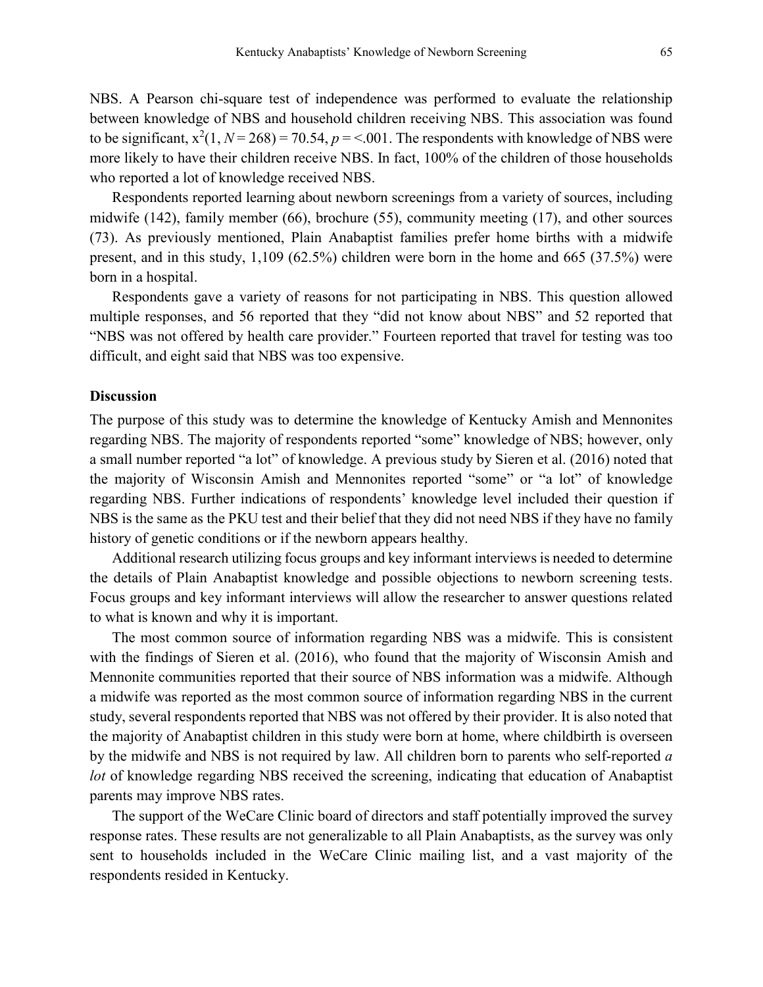NBS. A Pearson chi-square test of independence was performed to evaluate the relationship between knowledge of NBS and household children receiving NBS. This association was found to be significant,  $x^2(1, N = 268) = 70.54$ ,  $p = 5.001$ . The respondents with knowledge of NBS were more likely to have their children receive NBS. In fact, 100% of the children of those households who reported a lot of knowledge received NBS.

Respondents reported learning about newborn screenings from a variety of sources, including midwife (142), family member (66), brochure (55), community meeting (17), and other sources (73). As previously mentioned, Plain Anabaptist families prefer home births with a midwife present, and in this study, 1,109 (62.5%) children were born in the home and 665 (37.5%) were born in a hospital.

Respondents gave a variety of reasons for not participating in NBS. This question allowed multiple responses, and 56 reported that they "did not know about NBS" and 52 reported that "NBS was not offered by health care provider." Fourteen reported that travel for testing was too difficult, and eight said that NBS was too expensive.

### **Discussion**

The purpose of this study was to determine the knowledge of Kentucky Amish and Mennonites regarding NBS. The majority of respondents reported "some" knowledge of NBS; however, only a small number reported "a lot" of knowledge. A previous study by Sieren et al. (2016) noted that the majority of Wisconsin Amish and Mennonites reported "some" or "a lot" of knowledge regarding NBS. Further indications of respondents' knowledge level included their question if NBS is the same as the PKU test and their belief that they did not need NBS if they have no family history of genetic conditions or if the newborn appears healthy.

Additional research utilizing focus groups and key informant interviews is needed to determine the details of Plain Anabaptist knowledge and possible objections to newborn screening tests. Focus groups and key informant interviews will allow the researcher to answer questions related to what is known and why it is important.

The most common source of information regarding NBS was a midwife. This is consistent with the findings of Sieren et al. (2016), who found that the majority of Wisconsin Amish and Mennonite communities reported that their source of NBS information was a midwife. Although a midwife was reported as the most common source of information regarding NBS in the current study, several respondents reported that NBS was not offered by their provider. It is also noted that the majority of Anabaptist children in this study were born at home, where childbirth is overseen by the midwife and NBS is not required by law. All children born to parents who self-reported *a lot* of knowledge regarding NBS received the screening, indicating that education of Anabaptist parents may improve NBS rates.

The support of the WeCare Clinic board of directors and staff potentially improved the survey response rates. These results are not generalizable to all Plain Anabaptists, as the survey was only sent to households included in the WeCare Clinic mailing list, and a vast majority of the respondents resided in Kentucky.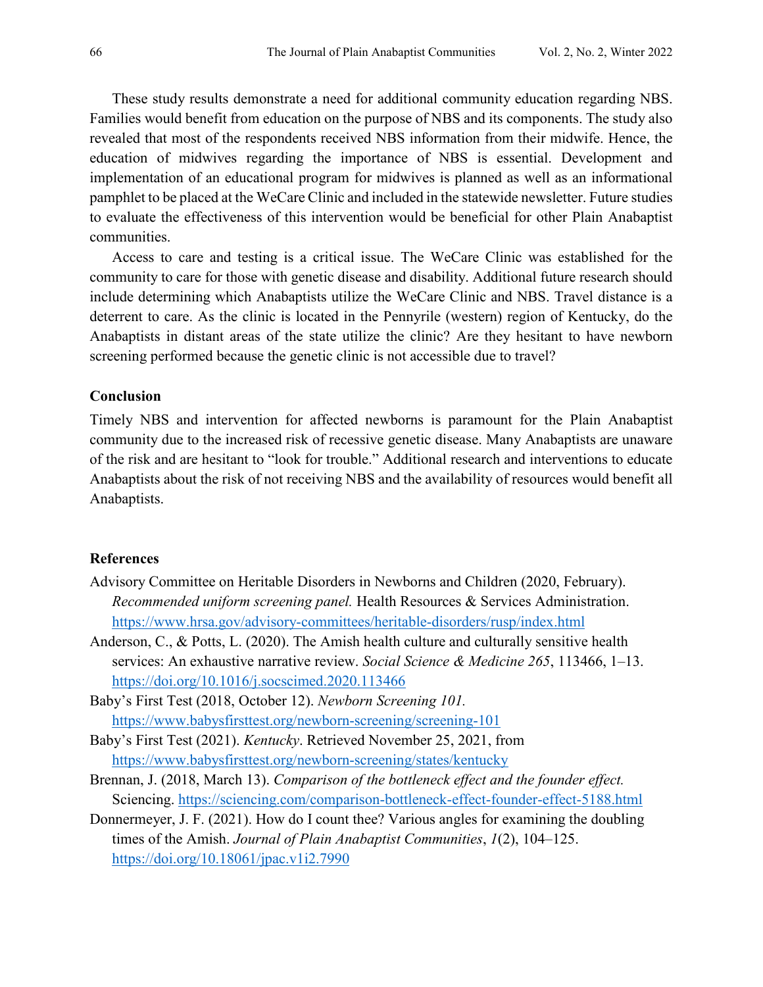These study results demonstrate a need for additional community education regarding NBS. Families would benefit from education on the purpose of NBS and its components. The study also revealed that most of the respondents received NBS information from their midwife. Hence, the education of midwives regarding the importance of NBS is essential. Development and implementation of an educational program for midwives is planned as well as an informational pamphlet to be placed at the WeCare Clinic and included in the statewide newsletter. Future studies to evaluate the effectiveness of this intervention would be beneficial for other Plain Anabaptist communities.

Access to care and testing is a critical issue. The WeCare Clinic was established for the community to care for those with genetic disease and disability. Additional future research should include determining which Anabaptists utilize the WeCare Clinic and NBS. Travel distance is a deterrent to care. As the clinic is located in the Pennyrile (western) region of Kentucky, do the Anabaptists in distant areas of the state utilize the clinic? Are they hesitant to have newborn screening performed because the genetic clinic is not accessible due to travel?

# **Conclusion**

Timely NBS and intervention for affected newborns is paramount for the Plain Anabaptist community due to the increased risk of recessive genetic disease. Many Anabaptists are unaware of the risk and are hesitant to "look for trouble." Additional research and interventions to educate Anabaptists about the risk of not receiving NBS and the availability of resources would benefit all Anabaptists.

# **References**

- Advisory Committee on Heritable Disorders in Newborns and Children (2020, February). *Recommended uniform screening panel.* Health Resources & Services Administration. <https://www.hrsa.gov/advisory-committees/heritable-disorders/rusp/index.html>
- Anderson, C., & Potts, L. (2020). The Amish health culture and culturally sensitive health services: An exhaustive narrative review. *Social Science & Medicine 265*, 113466, 1–13. <https://doi.org/10.1016/j.socscimed.2020.113466>
- Baby's First Test (2018, October 12). *Newborn Screening 101.*  <https://www.babysfirsttest.org/newborn-screening/screening-101>
- Baby's First Test (2021). *Kentucky*. Retrieved November 25, 2021, from <https://www.babysfirsttest.org/newborn-screening/states/kentucky>
- Brennan, J. (2018, March 13). *Comparison of the bottleneck effect and the founder effect.*  Sciencing.<https://sciencing.com/comparison-bottleneck-effect-founder-effect-5188.html>
- Donnermeyer, J. F. (2021). How do I count thee? Various angles for examining the doubling times of the Amish. *Journal of Plain Anabaptist Communities*, *1*(2), 104–125. <https://doi.org/10.18061/jpac.v1i2.7990>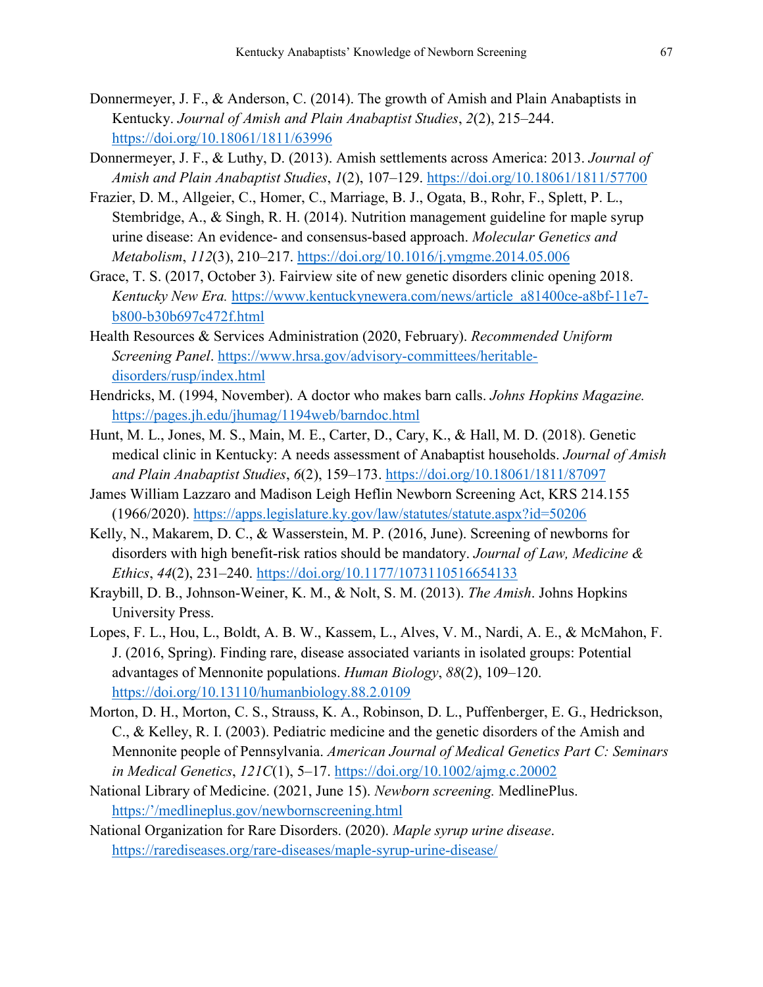- Donnermeyer, J. F., & Anderson, C. (2014). The growth of Amish and Plain Anabaptists in Kentucky. *Journal of Amish and Plain Anabaptist Studies*, *2*(2), 215–244. <https://doi.org/10.18061/1811/63996>
- Donnermeyer, J. F., & Luthy, D. (2013). Amish settlements across America: 2013. *Journal of Amish and Plain Anabaptist Studies*, *1*(2), 107–129.<https://doi.org/10.18061/1811/57700>
- Frazier, D. M., Allgeier, C., Homer, C., Marriage, B. J., Ogata, B., Rohr, F., Splett, P. L., Stembridge, A., & Singh, R. H. (2014). Nutrition management guideline for maple syrup urine disease: An evidence- and consensus-based approach. *Molecular Genetics and Metabolism*, *112*(3), 210–217.<https://doi.org/10.1016/j.ymgme.2014.05.006>
- Grace, T. S. (2017, October 3). Fairview site of new genetic disorders clinic opening 2018. *Kentucky New Era.* [https://www.kentuckynewera.com/news/article\\_a81400ce-a8bf-11e7](https://www.kentuckynewera.com/news/article_a81400ce-a8bf-11e7-b800-b30b697c472f.html) [b800-b30b697c472f.html](https://www.kentuckynewera.com/news/article_a81400ce-a8bf-11e7-b800-b30b697c472f.html)
- Health Resources & Services Administration (2020, February). *Recommended Uniform Screening Panel*. [https://www.hrsa.gov/advisory-committees/heritable](https://www.hrsa.gov/advisory-committees/heritable-disorders/rusp/index.html)[disorders/rusp/index.html](https://www.hrsa.gov/advisory-committees/heritable-disorders/rusp/index.html)
- Hendricks, M. (1994, November). A doctor who makes barn calls. *Johns Hopkins Magazine.* <https://pages.jh.edu/jhumag/1194web/barndoc.html>
- Hunt, M. L., Jones, M. S., Main, M. E., Carter, D., Cary, K., & Hall, M. D. (2018). Genetic medical clinic in Kentucky: A needs assessment of Anabaptist households. *Journal of Amish and Plain Anabaptist Studies*, *6*(2), 159–173.<https://doi.org/10.18061/1811/87097>
- James William Lazzaro and Madison Leigh Heflin Newborn Screening Act, KRS 214.155 (1966/2020).<https://apps.legislature.ky.gov/law/statutes/statute.aspx?id=50206>
- Kelly, N., Makarem, D. C., & Wasserstein, M. P. (2016, June). Screening of newborns for disorders with high benefit-risk ratios should be mandatory. *Journal of Law, Medicine & Ethics*, *44*(2), 231–240.<https://doi.org/10.1177/1073110516654133>
- Kraybill, D. B., Johnson-Weiner, K. M., & Nolt, S. M. (2013). *The Amish*. Johns Hopkins University Press.
- Lopes, F. L., Hou, L., Boldt, A. B. W., Kassem, L., Alves, V. M., Nardi, A. E., & McMahon, F. J. (2016, Spring). Finding rare, disease associated variants in isolated groups: Potential advantages of Mennonite populations. *Human Biology*, *88*(2), 109–120. <https://doi.org/10.13110/humanbiology.88.2.0109>
- Morton, D. H., Morton, C. S., Strauss, K. A., Robinson, D. L., Puffenberger, E. G., Hedrickson, C., & Kelley, R. I. (2003). Pediatric medicine and the genetic disorders of the Amish and Mennonite people of Pennsylvania. *American Journal of Medical Genetics Part C: Seminars in Medical Genetics*, *121C*(1), 5–17.<https://doi.org/10.1002/ajmg.c.20002>
- National Library of Medicine. (2021, June 15). *Newborn screening.* MedlinePlus. [https:/'/medlineplus.gov/newbornscreening.html](https://medlineplus.gov/newbornscreening.html)
- National Organization for Rare Disorders. (2020). *Maple syrup urine disease*. <https://rarediseases.org/rare-diseases/maple-syrup-urine-disease/>